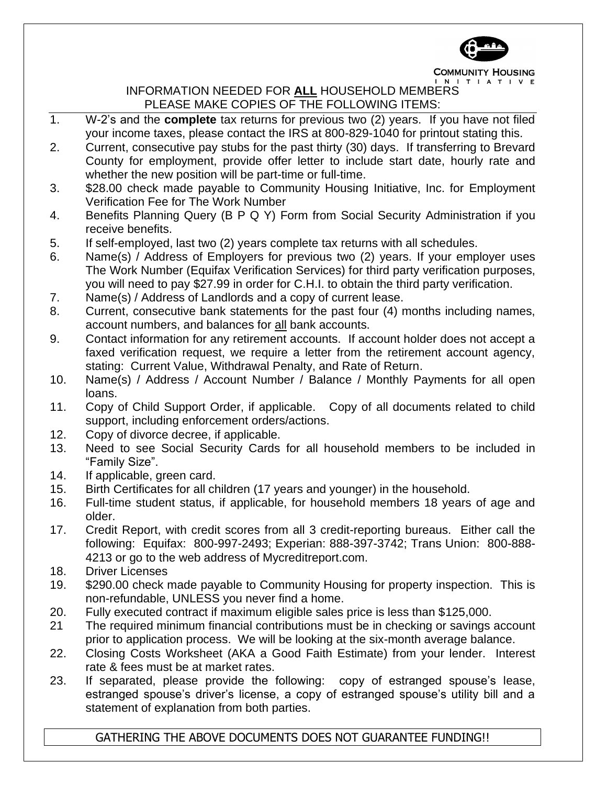

**COMMUNITY HOUSING** INITIATIVE

## INFORMATION NEEDED FOR **ALL** HOUSEHOLD MEMBERS PLEASE MAKE COPIES OF THE FOLLOWING ITEMS:

- 1. W-2's and the **complete** tax returns for previous two (2) years. If you have not filed your income taxes, please contact the IRS at 800-829-1040 for printout stating this.
- 2. Current, consecutive pay stubs for the past thirty (30) days. If transferring to Brevard County for employment, provide offer letter to include start date, hourly rate and whether the new position will be part-time or full-time.
- 3. \$28.00 check made payable to Community Housing Initiative, Inc. for Employment Verification Fee for The Work Number
- 4. Benefits Planning Query (B P Q Y) Form from Social Security Administration if you receive benefits.
- 5. If self-employed, last two (2) years complete tax returns with all schedules.
- 6. Name(s) / Address of Employers for previous two (2) years. If your employer uses The Work Number (Equifax Verification Services) for third party verification purposes, you will need to pay \$27.99 in order for C.H.I. to obtain the third party verification.
- 7. Name(s) / Address of Landlords and a copy of current lease.
- 8. Current, consecutive bank statements for the past four (4) months including names, account numbers, and balances for all bank accounts.
- 9. Contact information for any retirement accounts. If account holder does not accept a faxed verification request, we require a letter from the retirement account agency, stating: Current Value, Withdrawal Penalty, and Rate of Return.
- 10. Name(s) / Address / Account Number / Balance / Monthly Payments for all open loans.
- 11. Copy of Child Support Order, if applicable. Copy of all documents related to child support, including enforcement orders/actions.
- 12. Copy of divorce decree, if applicable.
- 13. Need to see Social Security Cards for all household members to be included in "Family Size".
- 14. If applicable, green card.
- 15. Birth Certificates for all children (17 years and younger) in the household.
- 16. Full-time student status, if applicable, for household members 18 years of age and older.
- 17. Credit Report, with credit scores from all 3 credit-reporting bureaus. Either call the following: Equifax: 800-997-2493; Experian: 888-397-3742; Trans Union: 800-888- 4213 or go to the web address of Mycreditreport.com.
- 18. Driver Licenses
- 19. \$290.00 check made payable to Community Housing for property inspection. This is non-refundable, UNLESS you never find a home.
- 20. Fully executed contract if maximum eligible sales price is less than \$125,000.
- 21 The required minimum financial contributions must be in checking or savings account prior to application process. We will be looking at the six-month average balance.
- 22. Closing Costs Worksheet (AKA a Good Faith Estimate) from your lender. Interest rate & fees must be at market rates.
- 23. If separated, please provide the following: copy of estranged spouse's lease, estranged spouse's driver's license, a copy of estranged spouse's utility bill and a statement of explanation from both parties.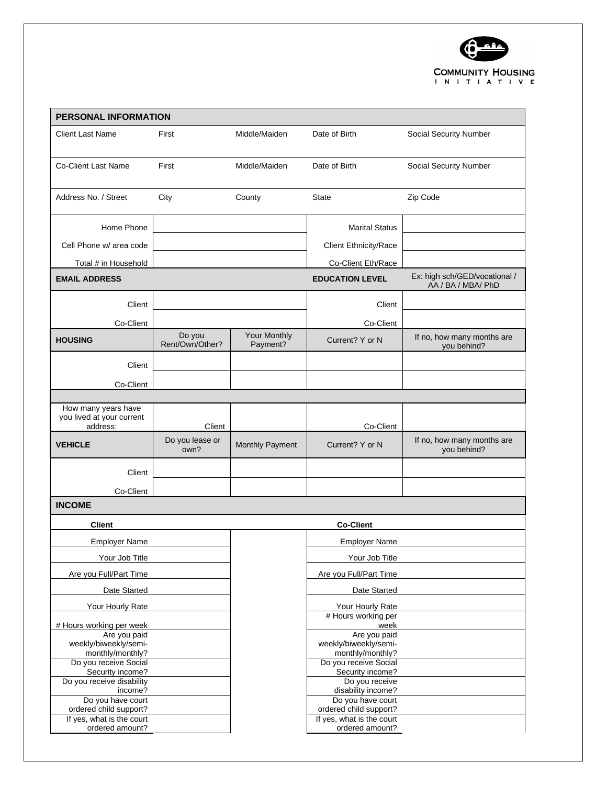

| <b>PERSONAL INFORMATION</b>                         |                           |                          |                                                     |                                                     |  |
|-----------------------------------------------------|---------------------------|--------------------------|-----------------------------------------------------|-----------------------------------------------------|--|
| <b>Client Last Name</b>                             | First                     | Middle/Maiden            | Date of Birth                                       | Social Security Number                              |  |
| <b>Co-Client Last Name</b>                          | First                     | Middle/Maiden            | Date of Birth                                       | Social Security Number                              |  |
| Address No. / Street                                | City                      | County                   | State                                               | Zip Code                                            |  |
| Home Phone                                          |                           |                          | <b>Marital Status</b>                               |                                                     |  |
| Cell Phone w/ area code                             |                           |                          | <b>Client Ethnicity/Race</b>                        |                                                     |  |
| Total # in Household                                |                           |                          | Co-Client Eth/Race                                  |                                                     |  |
| <b>EMAIL ADDRESS</b>                                |                           |                          | <b>EDUCATION LEVEL</b>                              | Ex: high sch/GED/vocational /<br>AA / BA / MBA/ PhD |  |
| Client                                              |                           |                          | Client                                              |                                                     |  |
| Co-Client                                           |                           |                          | Co-Client                                           |                                                     |  |
| <b>HOUSING</b>                                      | Do you<br>Rent/Own/Other? | Your Monthly<br>Payment? | Current? Y or N                                     | If no, how many months are<br>you behind?           |  |
| Client                                              |                           |                          |                                                     |                                                     |  |
| Co-Client                                           |                           |                          |                                                     |                                                     |  |
|                                                     |                           |                          |                                                     |                                                     |  |
| How many years have<br>you lived at your current    | Client                    |                          |                                                     |                                                     |  |
| address:                                            | Do you lease or           |                          | Co-Client                                           | If no, how many months are                          |  |
| <b>VEHICLE</b>                                      | own?                      | Monthly Payment          | Current? Y or N                                     | you behind?                                         |  |
| Client                                              |                           |                          |                                                     |                                                     |  |
| Co-Client                                           |                           |                          |                                                     |                                                     |  |
| <b>INCOME</b>                                       |                           |                          |                                                     |                                                     |  |
| <b>Client</b>                                       |                           |                          | <b>Co-Client</b>                                    |                                                     |  |
| <b>Employer Name</b>                                |                           |                          | <b>Employer Name</b>                                |                                                     |  |
| Your Job Title                                      |                           |                          | Your Job Title                                      |                                                     |  |
| Are you Full/Part Time                              |                           |                          | Are you Full/Part Time                              |                                                     |  |
| Date Started                                        |                           |                          | Date Started                                        |                                                     |  |
| Your Hourly Rate                                    |                           |                          | Your Hourly Rate                                    |                                                     |  |
| # Hours working per week                            |                           |                          | # Hours working per<br>week                         |                                                     |  |
| Are you paid                                        |                           |                          | Are you paid                                        |                                                     |  |
| weekly/biweekly/semi-<br>monthly/monthly?           |                           |                          | weekly/biweekly/semi-<br>monthly/monthly?           |                                                     |  |
| Do you receive Social                               |                           |                          | Do you receive Social                               |                                                     |  |
| Security income?<br>Do you receive disability       |                           |                          | Security income?<br>Do you receive                  |                                                     |  |
| income?                                             |                           |                          | disability income?                                  |                                                     |  |
| Do you have court                                   |                           |                          | Do you have court                                   |                                                     |  |
| ordered child support?<br>If yes, what is the court |                           |                          | ordered child support?<br>If yes, what is the court |                                                     |  |
| ordered amount?                                     |                           |                          | ordered amount?                                     |                                                     |  |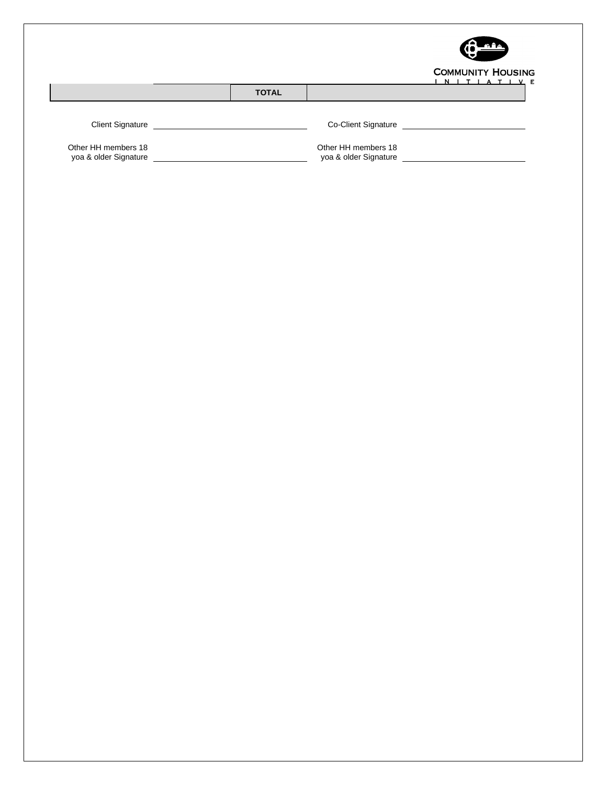

|  |  |  |  | <b>COMMUNITY HOUSING</b> |  |
|--|--|--|--|--------------------------|--|
|  |  |  |  | INITIATIVE               |  |

|                                              |              |                                              | N. |
|----------------------------------------------|--------------|----------------------------------------------|----|
|                                              | <b>TOTAL</b> |                                              |    |
|                                              |              |                                              |    |
| <b>Client Signature</b>                      |              | Co-Client Signature                          |    |
| Other HH members 18<br>yoa & older Signature |              | Other HH members 18<br>yoa & older Signature |    |
|                                              |              |                                              |    |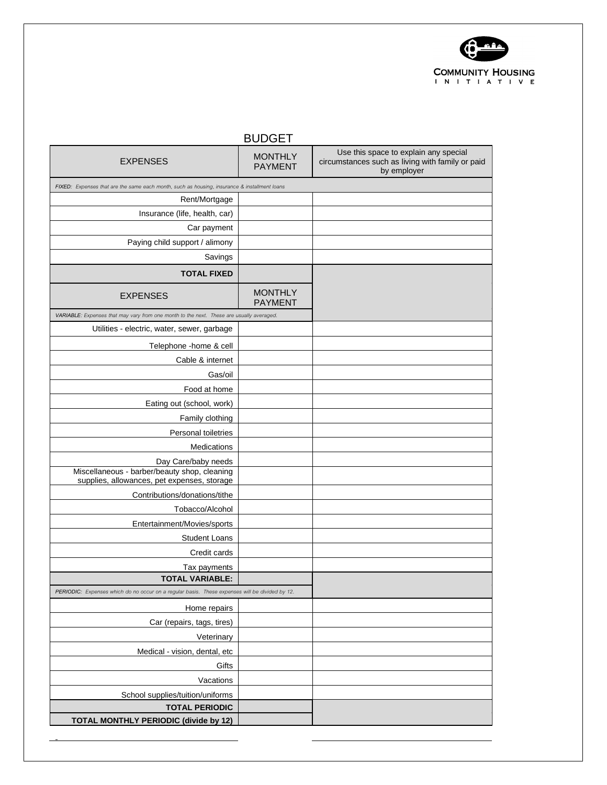

| <b>BUDGET</b>                                                                                                      |                                  |                                                                                                          |  |  |  |  |
|--------------------------------------------------------------------------------------------------------------------|----------------------------------|----------------------------------------------------------------------------------------------------------|--|--|--|--|
| <b>EXPENSES</b>                                                                                                    | <b>MONTHLY</b><br><b>PAYMENT</b> | Use this space to explain any special<br>circumstances such as living with family or paid<br>by employer |  |  |  |  |
| FIXED: Expenses that are the same each month, such as housing, insurance & installment loans                       |                                  |                                                                                                          |  |  |  |  |
| Rent/Mortgage                                                                                                      |                                  |                                                                                                          |  |  |  |  |
| Insurance (life, health, car)                                                                                      |                                  |                                                                                                          |  |  |  |  |
| Car payment                                                                                                        |                                  |                                                                                                          |  |  |  |  |
| Paying child support / alimony                                                                                     |                                  |                                                                                                          |  |  |  |  |
| Savings                                                                                                            |                                  |                                                                                                          |  |  |  |  |
| <b>TOTAL FIXED</b>                                                                                                 |                                  |                                                                                                          |  |  |  |  |
| <b>EXPENSES</b>                                                                                                    | <b>MONTHLY</b><br><b>PAYMENT</b> |                                                                                                          |  |  |  |  |
| VARIABLE: Expenses that may vary from one month to the next. These are usually averaged.                           |                                  |                                                                                                          |  |  |  |  |
| Utilities - electric, water, sewer, garbage                                                                        |                                  |                                                                                                          |  |  |  |  |
| Telephone -home & cell                                                                                             |                                  |                                                                                                          |  |  |  |  |
| Cable & internet                                                                                                   |                                  |                                                                                                          |  |  |  |  |
| Gas/oil                                                                                                            |                                  |                                                                                                          |  |  |  |  |
| Food at home                                                                                                       |                                  |                                                                                                          |  |  |  |  |
| Eating out (school, work)                                                                                          |                                  |                                                                                                          |  |  |  |  |
| Family clothing                                                                                                    |                                  |                                                                                                          |  |  |  |  |
| Personal toiletries                                                                                                |                                  |                                                                                                          |  |  |  |  |
| Medications                                                                                                        |                                  |                                                                                                          |  |  |  |  |
| Day Care/baby needs<br>Miscellaneous - barber/beauty shop, cleaning<br>supplies, allowances, pet expenses, storage |                                  |                                                                                                          |  |  |  |  |
| Contributions/donations/tithe                                                                                      |                                  |                                                                                                          |  |  |  |  |
| Tobacco/Alcohol                                                                                                    |                                  |                                                                                                          |  |  |  |  |
| Entertainment/Movies/sports                                                                                        |                                  |                                                                                                          |  |  |  |  |
| <b>Student Loans</b>                                                                                               |                                  |                                                                                                          |  |  |  |  |
| Credit cards                                                                                                       |                                  |                                                                                                          |  |  |  |  |
| Tax payments                                                                                                       |                                  |                                                                                                          |  |  |  |  |
| TOTAL VARIABLE:                                                                                                    |                                  |                                                                                                          |  |  |  |  |
| PERIODIC: Expenses which do no occur on a regular basis. These expenses will be divided by 12.                     |                                  |                                                                                                          |  |  |  |  |
| Home repairs                                                                                                       |                                  |                                                                                                          |  |  |  |  |
| Car (repairs, tags, tires)                                                                                         |                                  |                                                                                                          |  |  |  |  |
| Veterinary                                                                                                         |                                  |                                                                                                          |  |  |  |  |
| Medical - vision, dental, etc.                                                                                     |                                  |                                                                                                          |  |  |  |  |
| Gifts                                                                                                              |                                  |                                                                                                          |  |  |  |  |
| Vacations                                                                                                          |                                  |                                                                                                          |  |  |  |  |
| School supplies/tuition/uniforms                                                                                   |                                  |                                                                                                          |  |  |  |  |
| <b>TOTAL PERIODIC</b>                                                                                              |                                  |                                                                                                          |  |  |  |  |
| <b>TOTAL MONTHLY PERIODIC (divide by 12)</b>                                                                       |                                  |                                                                                                          |  |  |  |  |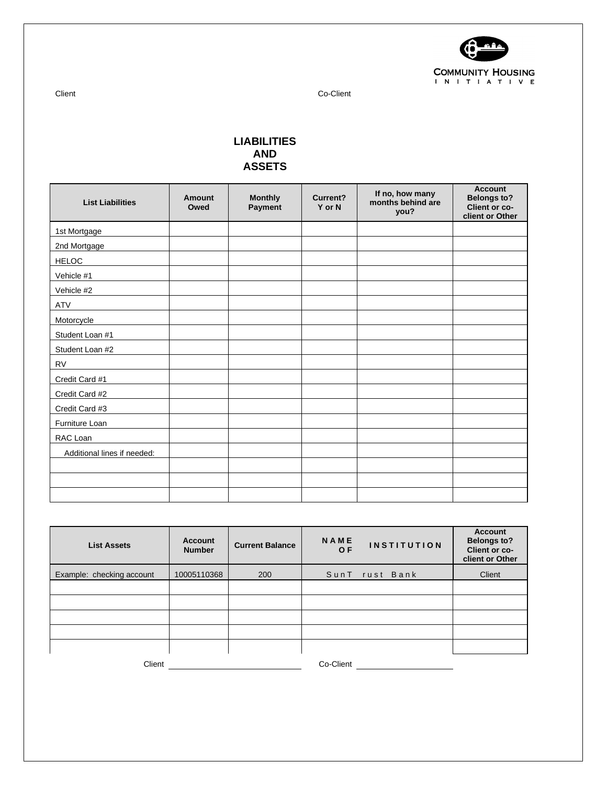

Client Co-Client

## **LIABILITIES AND ASSETS**

| <b>List Liabilities</b>     | <b>Amount</b><br>Owed | <b>Monthly</b><br>Payment | <b>Current?</b><br>Y or N | If no, how many<br>months behind are<br>you? | <b>Account</b><br><b>Belongs to?</b><br>Client or co-<br>client or Other |
|-----------------------------|-----------------------|---------------------------|---------------------------|----------------------------------------------|--------------------------------------------------------------------------|
| 1st Mortgage                |                       |                           |                           |                                              |                                                                          |
| 2nd Mortgage                |                       |                           |                           |                                              |                                                                          |
| <b>HELOC</b>                |                       |                           |                           |                                              |                                                                          |
| Vehicle #1                  |                       |                           |                           |                                              |                                                                          |
| Vehicle #2                  |                       |                           |                           |                                              |                                                                          |
| <b>ATV</b>                  |                       |                           |                           |                                              |                                                                          |
| Motorcycle                  |                       |                           |                           |                                              |                                                                          |
| Student Loan #1             |                       |                           |                           |                                              |                                                                          |
| Student Loan #2             |                       |                           |                           |                                              |                                                                          |
| <b>RV</b>                   |                       |                           |                           |                                              |                                                                          |
| Credit Card #1              |                       |                           |                           |                                              |                                                                          |
| Credit Card #2              |                       |                           |                           |                                              |                                                                          |
| Credit Card #3              |                       |                           |                           |                                              |                                                                          |
| Furniture Loan              |                       |                           |                           |                                              |                                                                          |
| RAC Loan                    |                       |                           |                           |                                              |                                                                          |
| Additional lines if needed: |                       |                           |                           |                                              |                                                                          |
|                             |                       |                           |                           |                                              |                                                                          |
|                             |                       |                           |                           |                                              |                                                                          |
|                             |                       |                           |                           |                                              |                                                                          |

| <b>List Assets</b>        | <b>Account</b><br><b>Number</b> | <b>Current Balance</b> | <b>NAME</b><br>O F | <b>INSTITUTION</b> | <b>Account</b><br><b>Belongs to?</b><br><b>Client or co-</b><br>client or Other |
|---------------------------|---------------------------------|------------------------|--------------------|--------------------|---------------------------------------------------------------------------------|
| Example: checking account | 10005110368                     | 200                    |                    | SunT rust Bank     | Client                                                                          |
|                           |                                 |                        |                    |                    |                                                                                 |
|                           |                                 |                        |                    |                    |                                                                                 |
|                           |                                 |                        |                    |                    |                                                                                 |
|                           |                                 |                        |                    |                    |                                                                                 |
|                           |                                 |                        |                    |                    |                                                                                 |
| Client                    |                                 |                        | Co-Client          |                    |                                                                                 |